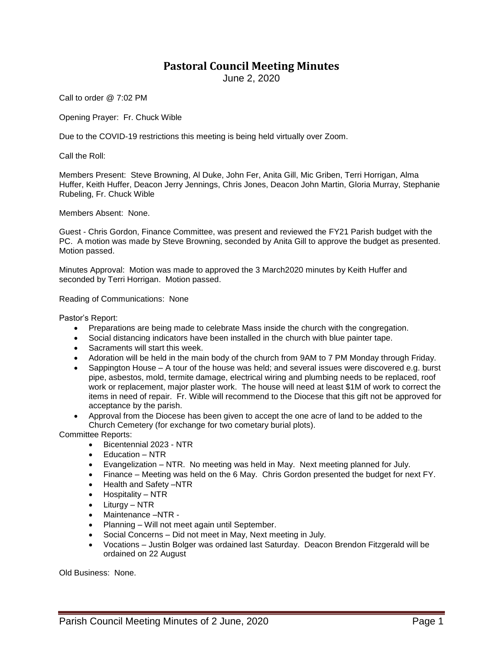## **Pastoral Council Meeting Minutes**

June 2, 2020

Call to order @ 7:02 PM

Opening Prayer: Fr. Chuck Wible

Due to the COVID-19 restrictions this meeting is being held virtually over Zoom.

Call the Roll:

Members Present: Steve Browning, Al Duke, John Fer, Anita Gill, Mic Griben, Terri Horrigan, Alma Huffer, Keith Huffer, Deacon Jerry Jennings, Chris Jones, Deacon John Martin, Gloria Murray, Stephanie Rubeling, Fr. Chuck Wible

Members Absent: None.

Guest - Chris Gordon, Finance Committee, was present and reviewed the FY21 Parish budget with the PC. A motion was made by Steve Browning, seconded by Anita Gill to approve the budget as presented. Motion passed.

Minutes Approval: Motion was made to approved the 3 March2020 minutes by Keith Huffer and seconded by Terri Horrigan. Motion passed.

Reading of Communications: None

Pastor's Report:

- Preparations are being made to celebrate Mass inside the church with the congregation.
- Social distancing indicators have been installed in the church with blue painter tape.
- Sacraments will start this week.
- Adoration will be held in the main body of the church from 9AM to 7 PM Monday through Friday.
- Sappington House A tour of the house was held; and several issues were discovered e.g. burst pipe, asbestos, mold, termite damage, electrical wiring and plumbing needs to be replaced, roof work or replacement, major plaster work. The house will need at least \$1M of work to correct the items in need of repair. Fr. Wible will recommend to the Diocese that this gift not be approved for acceptance by the parish.
- Approval from the Diocese has been given to accept the one acre of land to be added to the Church Cemetery (for exchange for two cometary burial plots).

Committee Reports:

- Bicentennial 2023 NTR
- Education NTR
- Evangelization NTR. No meeting was held in May. Next meeting planned for July.
- Finance Meeting was held on the 6 May. Chris Gordon presented the budget for next FY.
- Health and Safety –NTR
- $\bullet$  Hospitality NTR
- Liturgy NTR
- Maintenance –NTR -
- Planning Will not meet again until September.
- Social Concerns Did not meet in May, Next meeting in July.
- Vocations Justin Bolger was ordained last Saturday. Deacon Brendon Fitzgerald will be ordained on 22 August

Old Business: None.